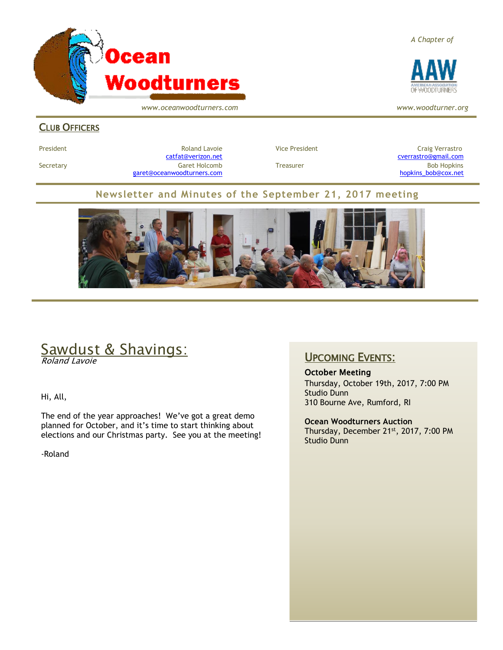

*www.oceanwoodturners.com*

*A Chapter of*



*www.woodturner.org*

#### **CLUB OFFICERS**

President Entertainment Roland Lavoie and Vice President Craig Verrastro<br>Catfat@verizon.net Craig Verrastro@gmail.com Secretary Garet Holcomb Treasurer Bob Hopkins [garet@oceanwoodturners.com](mailto:garet@oceanwoodturners.com) example and the state of the state of the [hopkins\\_bob@cox.net](mailto:hopkins_bob@cox.net)

cverrastro@gmail.com

#### **Newsletter and Minutes of the September 21, 2017 meeting**



# Sawdust & Shavings:

Roland Lavoie

Hi, All,

The end of the year approaches! We've got a great demo planned for October, and it's time to start thinking about elections and our Christmas party. See you at the meeting!

-Roland

#### UPCOMING EVENTS:

October Meeting

Thursday, October 19th, 2017, 7:00 PM Studio Dunn 310 Bourne Ave, Rumford, RI

**Ocean Woodturners Auction** Thursday, December 21<sup>st</sup>, 2017, 7:00 PM Studio Dunn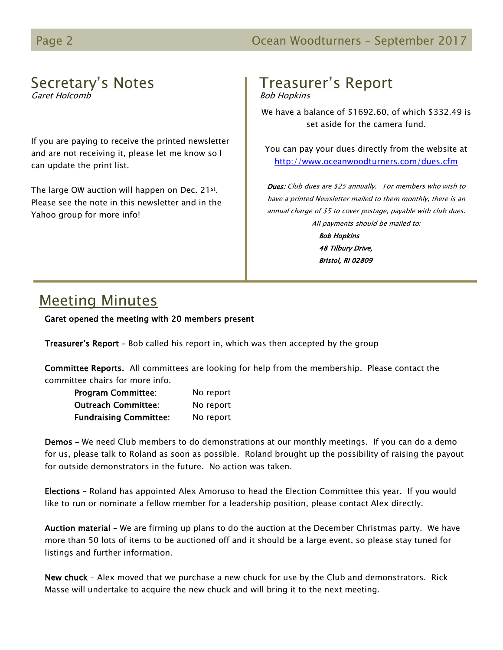# Secretary's Notes

Garet Holcomb

If you are paying to receive the printed newsletter and are not receiving it, please let me know so I can update the print list.

The large OW auction will happen on Dec. 21st. Please see the note in this newsletter and in the Yahoo group for more info!

# Treasurer's Report

Bob Hopkins

We have a balance of \$1692.60, of which \$332.49 is set aside for the camera fund.

You can pay your dues directly from the website at <http://www.oceanwoodturners.com/dues.cfm>

Dues: Club dues are \$25 annually. For members who wish to have a printed Newsletter mailed to them monthly, there is an annual charge of \$5 to cover postage, payable with club dues. All payments should be mailed to:

> Bob Hopkins 48 Tilbury Drive, Bristol, RI 02809

# Meeting Minutes

Garet opened the meeting with 20 members present

Treasurer's Report – Bob called his report in, which was then accepted by the group

Committee Reports. All committees are looking for help from the membership. Please contact the committee chairs for more info.

| <b>Program Committee:</b>     | No report |
|-------------------------------|-----------|
| <b>Outreach Committee:</b>    | No report |
| <b>Fundraising Committee:</b> | No report |

Demos – We need Club members to do demonstrations at our monthly meetings. If you can do a demo for us, please talk to Roland as soon as possible. Roland brought up the possibility of raising the payout for outside demonstrators in the future. No action was taken.

Elections – Roland has appointed Alex Amoruso to head the Election Committee this year. If you would like to run or nominate a fellow member for a leadership position, please contact Alex directly.

Auction material – We are firming up plans to do the auction at the December Christmas party. We have more than 50 lots of items to be auctioned off and it should be a large event, so please stay tuned for listings and further information.

New chuck - Alex moved that we purchase a new chuck for use by the Club and demonstrators. Rick Masse will undertake to acquire the new chuck and will bring it to the next meeting.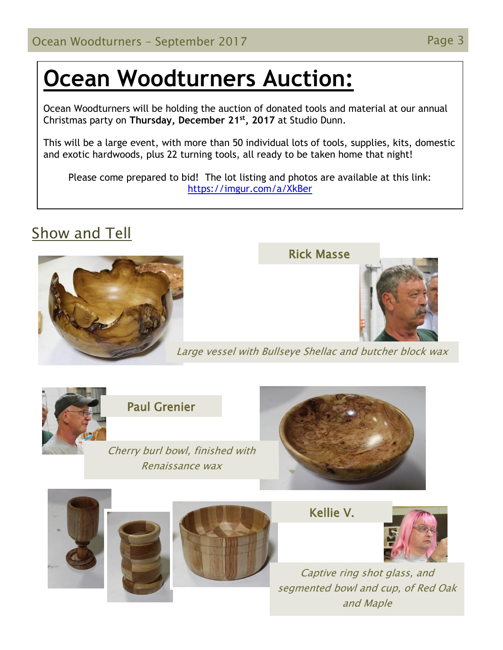# **Ocean Woodturners Auction:**

Ocean Woodturners will be holding the auction of donated tools and material at our annual Christmas party on **Thursday, December 21st, 2017** at Studio Dunn.

This will be a large event, with more than 50 individual lots of tools, supplies, kits, domestic and exotic hardwoods, plus 22 turning tools, all ready to be taken home that night!

Please come prepared to bid! The lot listing and photos are available at this link: <https://imgur.com/a/XkBer>

# Show and Tell



#### Rick Masse



Large vessel with Bullseye Shellac and butcher block wax



Paul Grenier

Cherry burl bowl, finished with Renaissance wax



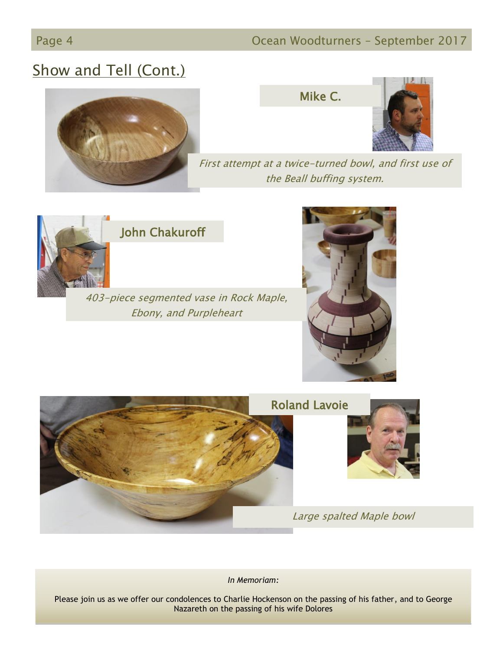#### Page 4 **Detail Community Community Community** Ocean Woodturners - September 2017

# Show and Tell (Cont.)







First attempt at a twice-turned bowl, and first use of the Beall buffing system.



### John Chakuroff

403-piece segmented vase in Rock Maple, Ebony, and Purpleheart





*In Memoriam:*

Please join us as we offer our condolences to Charlie Hockenson on the passing of his father, and to George Nazareth on the passing of his wife Dolores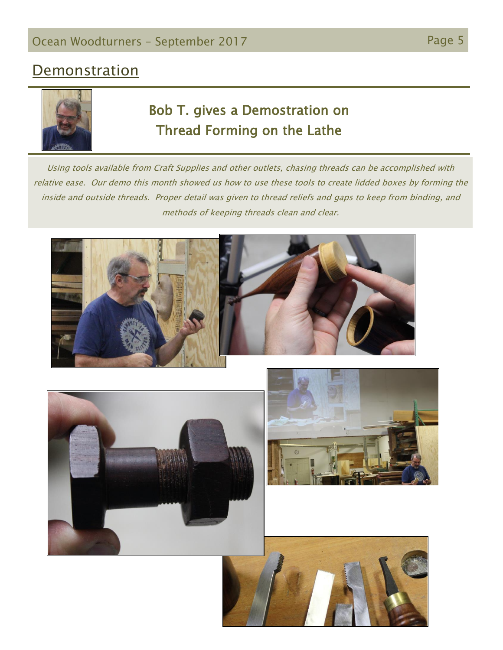# **Demonstration**



# Bob T. gives a Demostration on Thread Forming on the Lathe

Using tools available from Craft Supplies and other outlets, chasing threads can be accomplished with relative ease. Our demo this month showed us how to use these tools to create lidded boxes by forming the inside and outside threads. Proper detail was given to thread reliefs and gaps to keep from binding, and methods of keeping threads clean and clear.